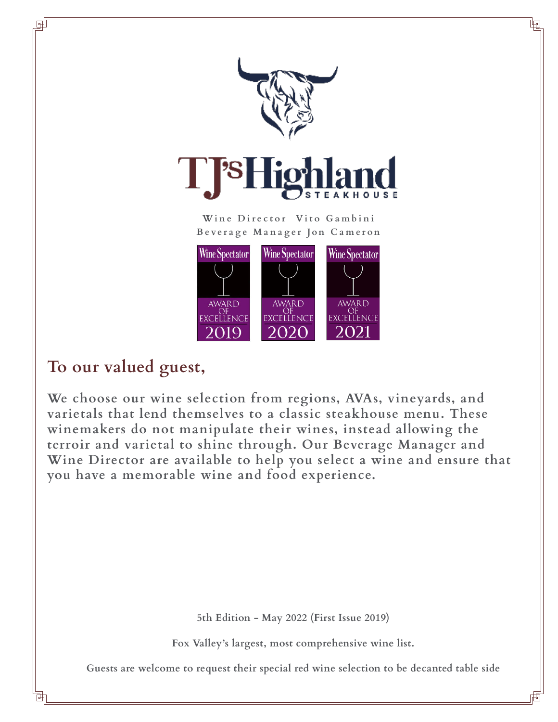

**Beverage Manager Jon Cameron**



# **To our valued guest,**

**We choose our wine selection from regions, AVAs, vineyards, and varietals that lend themselves to a classic steakhouse menu. These winemakers do not manipulate their wines, instead allowing the terroir and varietal to shine through. Our Beverage Manager and Wine Director are available to help you select a wine and ensure that you have a memorable wine and food experience.**

**5th Edition - May 2022 (First Issue 2019)**

**Fox Valley's largest, most comprehensive wine list.**

**Guests are welcome to request their special red wine selection to be decanted table side**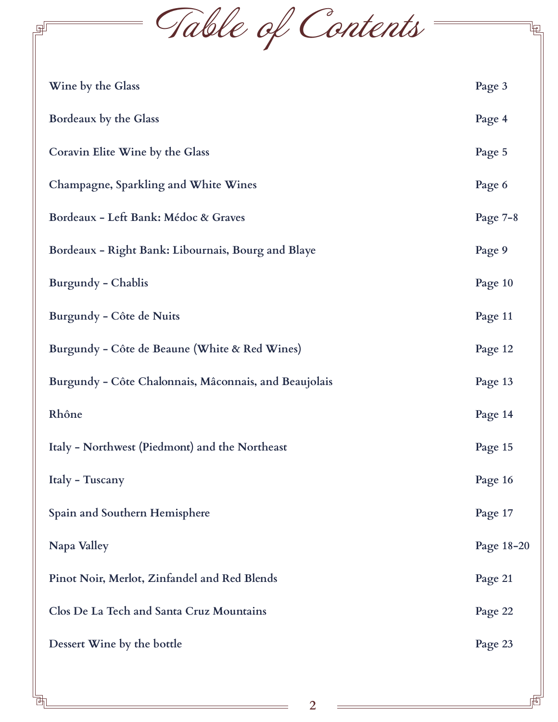Table of Contents

回

咆<br>

| Wine by the Glass                                     | Page 3     |  |
|-------------------------------------------------------|------------|--|
| Bordeaux by the Glass                                 | Page 4     |  |
| Coravin Elite Wine by the Glass                       | Page 5     |  |
| Champagne, Sparkling and White Wines                  | Page 6     |  |
| Bordeaux - Left Bank: Médoc & Graves                  | Page $7-8$ |  |
| Bordeaux - Right Bank: Libournais, Bourg and Blaye    | Page 9     |  |
| <b>Burgundy - Chablis</b>                             | Page 10    |  |
| Burgundy - Côte de Nuits                              | Page 11    |  |
| Burgundy - Côte de Beaune (White & Red Wines)         |            |  |
| Burgundy - Côte Chalonnais, Mâconnais, and Beaujolais |            |  |
| Rhône                                                 | Page 14    |  |
| Italy - Northwest (Piedmont) and the Northeast        | Page 15    |  |
| Italy - Tuscany                                       | Page 16    |  |
| Spain and Southern Hemisphere                         | Page 17    |  |
| Napa Valley                                           | Page 18-20 |  |
| Pinot Noir, Merlot, Zinfandel and Red Blends          | Page 21    |  |
| Clos De La Tech and Santa Cruz Mountains              | Page 22    |  |
| Dessert Wine by the bottle                            |            |  |
|                                                       |            |  |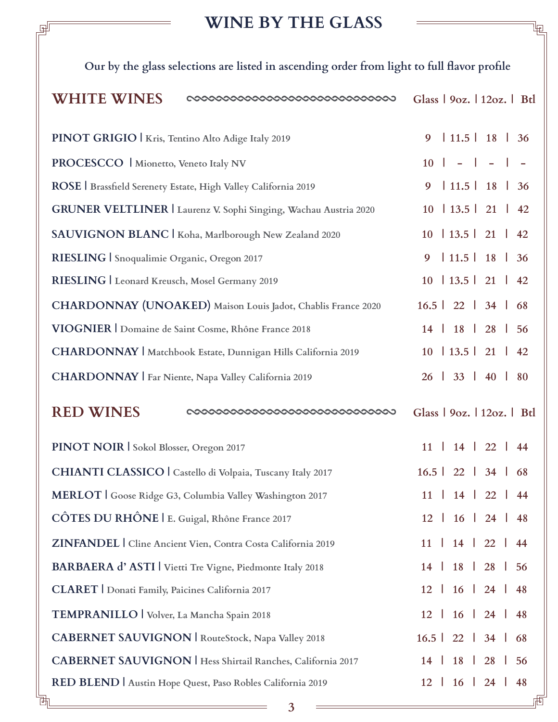## **WINE BY THE GLASS**

Ŀ

| WINE BY THE GLASS                                                                           |                                |
|---------------------------------------------------------------------------------------------|--------------------------------|
| Our by the glass selections are listed in ascending order from light to full flavor profile |                                |
| <b>WHITE WINES</b>                                                                          | Glass   90z.   120z.   Btl     |
| PINOT GRIGIO   Kris, Tentino Alto Adige Italy 2019                                          | $11.5$ 18 36<br>9              |
| PROCESCCO   Mionetto, Veneto Italy NV                                                       | $10$   -   -   -               |
| ROSE   Brassfield Serenety Estate, High Valley California 2019                              | $11.5$ 18 36<br>9              |
| GRUNER VELTLINER   Laurenz V. Sophi Singing, Wachau Austria 2020                            | $10 \mid 13.5 \mid 21 \mid 42$ |
| SAUVIGNON BLANC   Koha, Marlborough New Zealand 2020                                        | $10 \mid 13.5 \mid 21 \mid 42$ |
| RIESLING   Snoqualimie Organic, Oregon 2017                                                 | $11.5$   18   36<br>9          |
| RIESLING   Leonard Kreusch, Mosel Germany 2019                                              | $10 \mid 13.5 \mid 21 \mid 42$ |
| CHARDONNAY (UNOAKED) Maison Louis Jadot, Chablis France 2020                                | $16.5$   22   34   68          |
| VIOGNIER   Domaine de Saint Cosme, Rhône France 2018                                        | 14   18   28   56              |
| CHARDONNAY   Matchbook Estate, Dunnigan Hills California 2019                               | $10 \mid 13.5 \mid 21 \mid 42$ |
| CHARDONNAY   Far Niente, Napa Valley California 2019                                        | 26   33   40   80              |
| <b>RED WINES</b>                                                                            | Glass   90z.   120z.   Btl     |
| PINOT NOIR Sokol Blosser, Oregon 2017                                                       | $11$   $14$   $22$   $44$      |
| CHIANTI CLASSICO   Castello di Volpaia, Tuscany Italy 2017                                  | $16.5$   22   34   68          |
| MERLOT Goose Ridge G3, Columbia Valley Washington 2017                                      | $11$   $14$   $22$   $44$      |
| CÔTES DU RHÔNE   E. Guigal, Rhône France 2017                                               | $12 \mid 16 \mid 24 \mid 48$   |
| ZINFANDEL   Cline Ancient Vien, Contra Costa California 2019                                | $11$   $14$   $22$   $44$      |
| BARBAERA d'ASTI   Vietti Tre Vigne, Piedmonte Italy 2018                                    | $14$   $18$   $28$   56        |
| CLARET   Donati Family, Paicines California 2017                                            | $12 \mid 16 \mid 24 \mid 48$   |
| TEMPRANILLO   Volver, La Mancha Spain 2018                                                  | $12 \mid 16 \mid 24 \mid 48$   |
| <b>CABERNET SAUVIGNON   RouteStock, Napa Valley 2018</b>                                    | $16.5$   22   34   68          |

**3**

**CABERNET SAUVIGNON | Hess Shirtail Ranches, California 2017 14 | 18 | 28 | 56**

**12 | 16 | 24 | 48**

**RED BLEND | Austin Hope Quest, Paso Robles California 2019**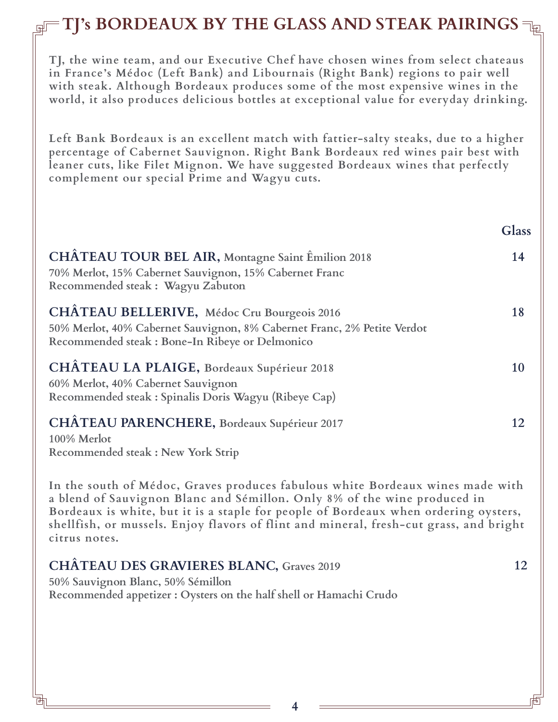# **TJ's BORDEAUX BY THE GLASS AND STEAK PAIRINGS**  $\exists$

**TJ, the wine team, and our Executive Chef have chosen wines from select chateaus in France's Médoc (Left Bank) and Libournais (Right Bank) regions to pair well with steak. Although Bordeaux produces some of the most expensive wines in the world, it also produces delicious bottles at exceptional value for everyday drinking.** 

**Left Bank Bordeaux is an excellent match with fattier-salty steaks, due to a higher percentage of Cabernet Sauvignon. Right Bank Bordeaux red wines pair best with leaner cuts, like Filet Mignon. We have suggested Bordeaux wines that perfectly complement our special Prime and Wagyu cuts.**

**Glass**

| CHÂTEAU TOUR BEL AIR, Montagne Saint Êmilion 2018<br>70% Merlot, 15% Cabernet Sauvignon, 15% Cabernet Franc<br>Recommended steak: Wagyu Zabuton                           | 14 |
|---------------------------------------------------------------------------------------------------------------------------------------------------------------------------|----|
| CHÂTEAU BELLERIVE, Médoc Cru Bourgeois 2016<br>50% Merlot, 40% Cabernet Sauvignon, 8% Cabernet Franc, 2% Petite Verdot<br>Recommended steak : Bone-In Ribeye or Delmonico | 18 |
| CHÂTEAU LA PLAIGE, Bordeaux Supérieur 2018<br>60% Merlot, 40% Cabernet Sauvignon<br>Recommended steak : Spinalis Doris Wagyu (Ribeye Cap)                                 | 10 |
| CHÂTEAU PARENCHERE, Bordeaux Supérieur 2017<br>100% Merlot<br>Recommended steak: New York Strip                                                                           | 12 |

**In the south of Médoc, Graves produces fabulous white Bordeaux wines made with a blend of Sauvignon Blanc and Sémillon. Only 8% of the wine produced in Bordeaux is white, but it is a staple for people of Bordeaux when ordering oysters, shellfish, or mussels. Enjoy flavors of flint and mineral, fresh-cut grass, and bright citrus notes.**

| <b>CHÂTEAU DES GRAVIERES BLANC, Graves 2019</b> |  |
|-------------------------------------------------|--|
| 50% Sauvignon Blanc, 50% Sémillon               |  |

**Recommended appetizer : Oysters on the half shell or Hamachi Crudo**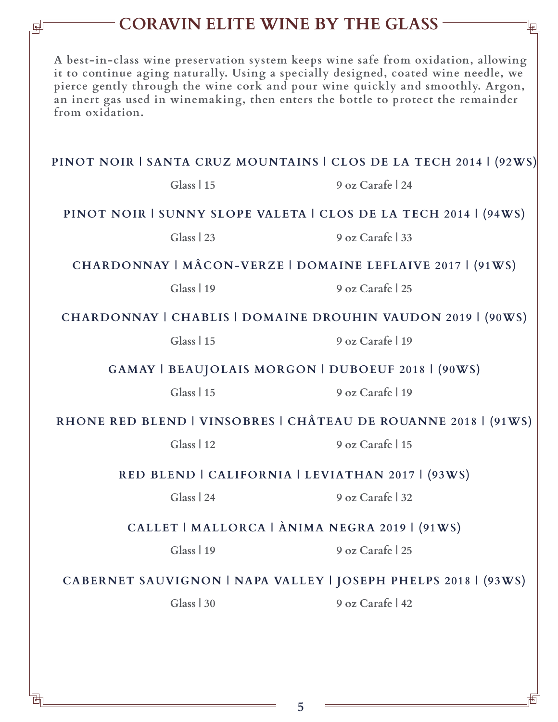### **CORAVIN ELITE WINE BY THE GLASS**

**A best-in-class wine preservation system keeps wine safe from oxidation, allowing it to continue aging naturally. Using a specially designed, coated wine needle, we pierce gently through the wine cork and pour wine quickly and smoothly. Argon, an inert gas used in winemaking, then enters the bottle to protect the remainder from oxidation.** 

#### **PINOT NOIR | SANTA CRUZ MOUNTAINS | CLOS DE LA TECH 2014 | (92WS)**

**Glass | 15 9 oz Carafe | 24**

#### **PINOT NOIR | SUNNY SLOPE VALETA | CLOS DE LA TECH 2014 | (94WS)**

**Glass | 23 9 oz Carafe | 33**

#### **CHARDONNAY | MÂCON-VERZE | DOMAINE LEFLAIVE 2017 | (91WS)**

**Glass | 19 9 oz Carafe | 25**

#### **CHARDONNAY | CHABLIS | DOMAINE DROUHIN VAUDON 2019 | (90WS)**

**Glass | 15 9 oz Carafe | 19**

**GAMAY | BEAUJOLAIS MORGON | DUBOEUF 2018 | (90WS)**

**Glass | 15 9 oz Carafe | 19**

**RHONE RED BLEND | VINSOBRES | CHÂTEAU DE ROUANNE 2018 | (91WS)**

**Glass | 12 9 oz Carafe | 15**

**RED BLEND | CALIFORNIA | LEVIATHAN 2017 | (93WS)**

**Glass | 24 9 oz Carafe | 32**

#### **CALLET | MALLORCA | ÀNIMA NEGRA 2019 | (91WS)**

**Glass | 19 9 oz Carafe | 25**

#### **CABERNET SAUVIGNON | NAPA VALLEY | JOSEPH PHELPS 2018 | (93WS)**

**Glass | 30 9 oz Carafe | 42**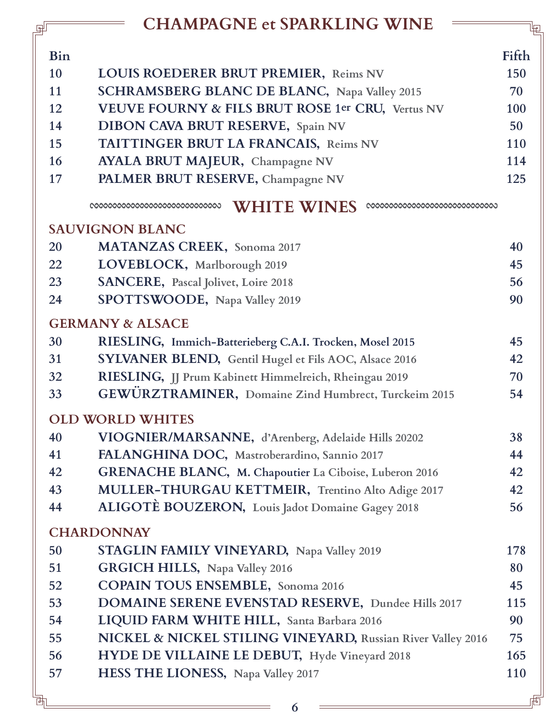# **CHAMPAGNE et SPARKLING WINE**

|            | <b>CHAMPAGNE et SPARKLING WINE</b>                          |       |
|------------|-------------------------------------------------------------|-------|
| <b>Bin</b> |                                                             | Fifth |
| 10         | LOUIS ROEDERER BRUT PREMIER, Reims NV                       | 150   |
| 11         | SCHRAMSBERG BLANC DE BLANC, Napa Valley 2015                | 70    |
| 12         | VEUVE FOURNY & FILS BRUT ROSE 1er CRU, Vertus NV            | 100   |
| 14         | <b>DIBON CAVA BRUT RESERVE, Spain NV</b>                    | 50    |
| 15         | TAITTINGER BRUT LA FRANCAIS, Reims NV                       | 110   |
| 16         | <b>AYALA BRUT MAJEUR, Champagne NV</b>                      | 114   |
| 17         | PALMER BRUT RESERVE, Champagne NV                           | 125   |
|            | <b>WHITE WINES</b>                                          |       |
|            | <b>SAUVIGNON BLANC</b>                                      |       |
| 20         | <b>MATANZAS CREEK</b> , Sonoma 2017                         | 40    |
| 22         | LOVEBLOCK, Marlborough 2019                                 | 45    |
| 23         | SANCERE, Pascal Jolivet, Loire 2018                         | 56    |
| 24         | SPOTTSWOODE, Napa Valley 2019                               | 90    |
|            | <b>GERMANY &amp; ALSACE</b>                                 |       |
| 30         | RIESLING, Immich-Batterieberg C.A.I. Trocken, Mosel 2015    | 45    |
| 31         | SYLVANER BLEND, Gentil Hugel et Fils AOC, Alsace 2016       | 42    |
| 32         | RIESLING, JJ Prum Kabinett Himmelreich, Rheingau 2019       | 70    |
| 33         | GEWÜRZTRAMINER, Domaine Zind Humbrect, Turckeim 2015        | 54    |
|            | <b>OLD WORLD WHITES</b>                                     |       |
| 40         | VIOGNIER/MARSANNE, d'Arenberg, Adelaide Hills 20202         | 38    |
| 41         | FALANGHINA DOC, Mastroberardino, Sannio 2017                | 44    |
| 42         | GRENACHE BLANC, M. Chapoutier La Ciboise, Luberon 2016      | 42    |
| 43         | MULLER-THURGAU KETTMEIR, Trentino Alto Adige 2017           | 42    |
| 44         | ALIGOTÈ BOUZERON, Louis Jadot Domaine Gagey 2018            | 56    |
|            | <b>CHARDONNAY</b>                                           |       |
| 50         | STAGLIN FAMILY VINEYARD, Napa Valley 2019                   | 178   |
| 51         | <b>GRGICH HILLS, Napa Valley 2016</b>                       | 80    |
| 52         | <b>COPAIN TOUS ENSEMBLE, Sonoma 2016</b>                    | 45    |
| 53         | DOMAINE SERENE EVENSTAD RESERVE, Dundee Hills 2017          | 115   |
| 54         | LIQUID FARM WHITE HILL, Santa Barbara 2016                  | 90    |
| 55         | NICKEL & NICKEL STILING VINEYARD, Russian River Valley 2016 | 75    |
| 56         | HYDE DE VILLAINE LE DEBUT, Hyde Vineyard 2018               | 165   |
| 57         | HESS THE LIONESS, Napa Valley 2017                          | 110   |
|            |                                                             |       |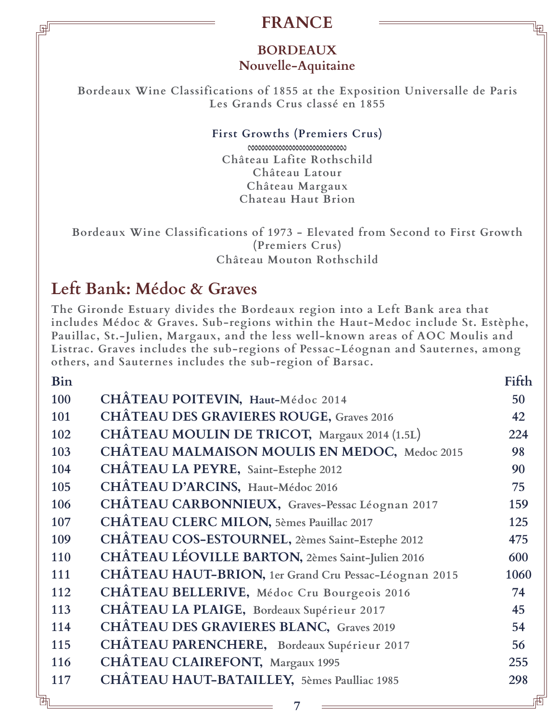### **FRANCE**

### **BORDEAUX Nouvelle-Aquitaine**

**Bordeaux Wine Classifications of 1855 at the Exposition Universalle de Paris Les Grands Crus classé en 1855**

#### **First Growths (Premiers Crus)**

**Château Lafite Rothschild Château Latour Château Margaux Chateau Haut Brion**

**Bordeaux Wine Classifications of 1973 - Elevated from Second to First Growth (Premiers Crus) Château Mouton Rothschild**

# **Left Bank: Médoc & Graves**

**The Gironde Estuary divides the Bordeaux region into a Left Bank area that includes Médoc & Graves. Sub-regions within the Haut-Medoc include St. Estèphe, Pauillac, St.-Julien, Margaux, and the less well-known areas of AOC Moulis and Listrac. Graves includes the sub-regions of Pessac-Léognan and Sauternes, among others, and Sauternes includes the sub-region of Barsac.**

| <b>Bin</b> |                                                       | Fifth |
|------------|-------------------------------------------------------|-------|
| 100        | CHÂTEAU POITEVIN, Haut-Médoc 2014                     | 50    |
| 101        | <b>CHÂTEAU DES GRAVIERES ROUGE, Graves 2016</b>       | 42    |
| 102        | CHÂTEAU MOULIN DE TRICOT, Margaux 2014 (1.5L)         | 224   |
| 103        | CHÂTEAU MALMAISON MOULIS EN MEDOC, Medoc 2015         | 98    |
| 104        | CHÂTEAU LA PEYRE, Saint-Estephe 2012                  | 90    |
| 105        | CHÂTEAU D'ARCINS, Haut-Médoc 2016                     | 75    |
| 106        | CHÂTEAU CARBONNIEUX, Graves-Pessac Léognan 2017       | 159   |
| 107        | CHÂTEAU CLERC MILON, 5èmes Pauillac 2017              | 125   |
| 109        | CHÂTEAU COS-ESTOURNEL, 2èmes Saint-Estephe 2012       | 475   |
| 110        | CHÂTEAU LÉOVILLE BARTON, 2èmes Saint-Julien 2016      | 600   |
| 111        | CHÂTEAU HAUT-BRION, 1er Grand Cru Pessac-Léognan 2015 | 1060  |
| 112        | CHÂTEAU BELLERIVE, Médoc Cru Bourgeois 2016           | 74    |
| 113        | CHÂTEAU LA PLAIGE, Bordeaux Supérieur 2017            | 45    |
| 114        | <b>CHÂTEAU DES GRAVIERES BLANC, Graves 2019</b>       | 54    |
| 115        | CHÂTEAU PARENCHERE, Bordeaux Supérieur 2017           | 56    |
| 116        | CHÂTEAU CLAIREFONT, Margaux 1995                      | 255   |
| 117        | CHÂTEAU HAUT-BATAILLEY, 5èmes Paulliac 1985           | 298   |
|            |                                                       |       |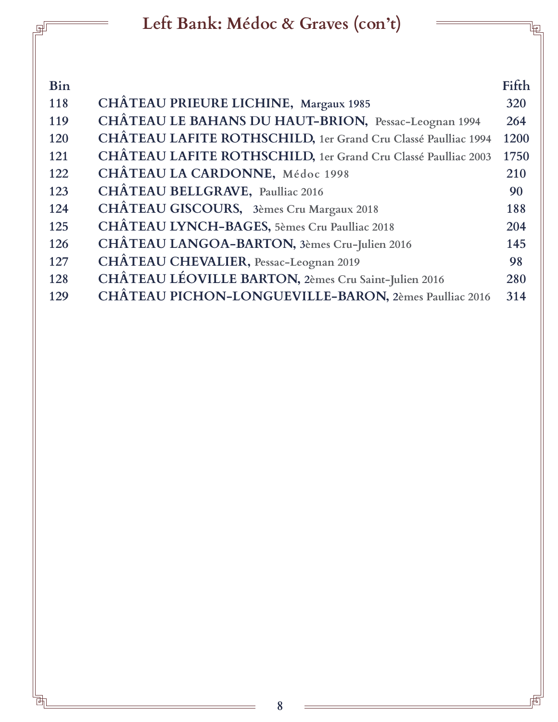|            | Left Bank: Médoc & Graves (con't)                             |       |
|------------|---------------------------------------------------------------|-------|
|            |                                                               |       |
|            |                                                               |       |
| <b>Bin</b> |                                                               | Fifth |
| 118        | CHÂTEAU PRIEURE LICHINE, Margaux 1985                         | 320   |
| 119        | CHÂTEAU LE BAHANS DU HAUT-BRION, Pessac-Leognan 1994          | 264   |
| 120        | CHÂTEAU LAFITE ROTHSCHILD, 1er Grand Cru Classé Paulliac 1994 | 1200  |
| 121        | CHÂTEAU LAFITE ROTHSCHILD, 1er Grand Cru Classé Paulliac 2003 | 1750  |
| 122        | CHÂTEAU LA CARDONNE, Médoc 1998                               | 210   |
| 123        | CHÂTEAU BELLGRAVE, Paulliac 2016                              | 90    |
| 124        | CHÂTEAU GISCOURS, 3èmes Cru Margaux 2018                      | 188   |
| 125        | CHÂTEAU LYNCH-BAGES, 5èmes Cru Paulliac 2018                  | 204   |
| 126        | CHÂTEAU LANGOA-BARTON, 3èmes Cru-Julien 2016                  | 145   |
| 127        | CHÂTEAU CHEVALIER, Pessac-Leognan 2019                        | 98    |
| 128        | CHÂTEAU LÉOVILLE BARTON, 2èmes Cru Saint-Julien 2016          | 280   |
| 129        | CHÂTEAU PICHON-LONGUEVILLE-BARON, 2èmes Paulliac 2016         | 314   |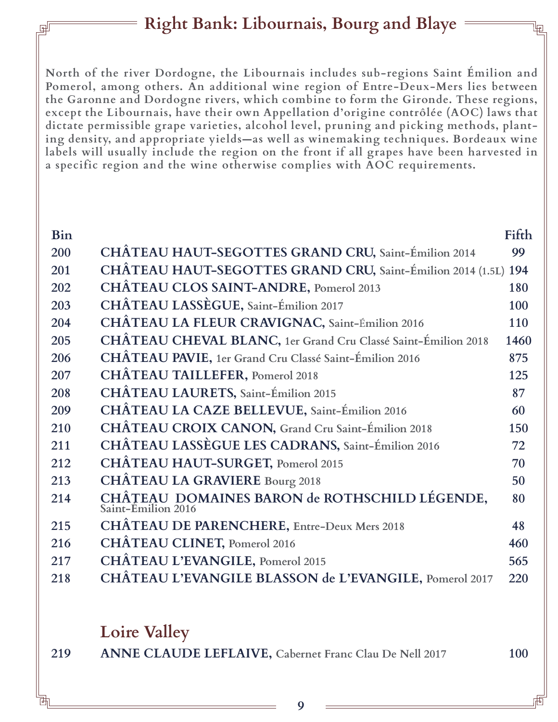# **Right Bank: Libournais, Bourg and Blaye**

**North of the river Dordogne, the Libournais includes sub-regions Saint Émilion and Pomerol, among others. An additional wine region of Entre-Deux-Mers lies between the Garonne and Dordogne rivers, which combine to form the Gironde. These regions, except the Libournais, have their own Appellation d'origine contrôlée (AOC) laws that dictate permissible grape varieties, alcohol level, pruning and picking methods, planting density, and appropriate yields—as well as winemaking techniques. Bordeaux wine labels will usually include the region on the front if all grapes have been harvested in a specific region and the wine otherwise complies with AOC requirements.** 

| Bin |                                                                     | Fifth |
|-----|---------------------------------------------------------------------|-------|
| 200 | CHÂTEAU HAUT-SEGOTTES GRAND CRU, Saint-Émilion 2014                 | 99    |
| 201 | CHÂTEAU HAUT-SEGOTTES GRAND CRU, Saint-Émilion 2014 (1.5L) 194      |       |
| 202 | CHÂTEAU CLOS SAINT-ANDRE, Pomerol 2013                              | 180   |
| 203 | CHÂTEAU LASSÈGUE, Saint-Émilion 2017                                | 100   |
| 204 | CHÂTEAU LA FLEUR CRAVIGNAC, Saint-Émilion 2016                      | 110   |
| 205 | CHÂTEAU CHEVAL BLANC, 1er Grand Cru Classé Saint-Émilion 2018       | 1460  |
| 206 | CHÂTEAU PAVIE, 1er Grand Cru Classé Saint-Émilion 2016              | 875   |
| 207 | <b>CHÂTEAU TAILLEFER, Pomerol 2018</b>                              | 125   |
| 208 | CHÂTEAU LAURETS, Saint-Émilion 2015                                 | 87    |
| 209 | CHÂTEAU LA CAZE BELLEVUE, Saint-Émilion 2016                        | 60    |
| 210 | <b>CHÂTEAU CROIX CANON, Grand Cru Saint-Émilion 2018</b>            | 150   |
| 211 | CHÂTEAU LASSÈGUE LES CADRANS, Saint-Émilion 2016                    | 72    |
| 212 | <b>CHÂTEAU HAUT-SURGET, Pomerol 2015</b>                            | 70    |
| 213 | <b>CHÂTEAU LA GRAVIERE Bourg 2018</b>                               | 50    |
| 214 | CHÂTEAU DOMAINES BARON de ROTHSCHILD LÉGENDE,<br>Saint-Émilion 2016 | 80    |
| 215 | <b>CHÂTEAU DE PARENCHERE, Entre-Deux Mers 2018</b>                  | 48    |
| 216 | <b>CHÂTEAU CLINET, Pomerol 2016</b>                                 | 460   |
| 217 | CHÂTEAU L'EVANGILE, Pomerol 2015                                    | 565   |
| 218 | CHÂTEAU L'EVANGILE BLASSON de L'EVANGILE, Pomerol 2017              | 220   |
|     |                                                                     |       |

### **Loire Valley**

| ANNE CLAUDE LEFLAIVE, Cabernet Franc Clau De Nell 2017<br>219 | <b>100</b> |
|---------------------------------------------------------------|------------|
|---------------------------------------------------------------|------------|

**9**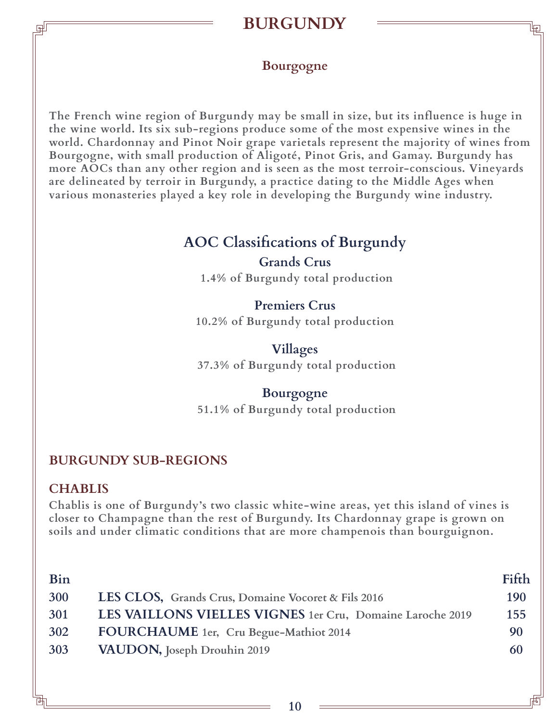# **BURGUNDY**

### **Bourgogne**

**The French wine region of Burgundy may be small in size, but its influence is huge in the wine world. Its six sub-regions produce some of the most expensive wines in the world. Chardonnay and Pinot Noir grape varietals represent the majority of wines from Bourgogne, with small production of Aligoté, Pinot Gris, and Gamay. Burgundy has more AOCs than any other region and is seen as the most terroir-conscious. Vineyards are delineated by terroir in Burgundy, a practice dating to the Middle Ages when various monasteries played a key role in developing the Burgundy wine industry.** 

### **AOC Classifications of Burgundy Grands Crus**

 **1.4% of Burgundy total production**

### **Premiers Crus**

**10.2% of Burgundy total production**

**Villages 37.3% of Burgundy total production**

#### **Bourgogne 51.1% of Burgundy total production**

### **BURGUNDY SUB-REGIONS**

#### **CHABLIS**

**Chablis is one of Burgundy's two classic white-wine areas, yet this island of vines is closer to Champagne than the rest of Burgundy. Its Chardonnay grape is grown on soils and under climatic conditions that are more champenois than bourguignon.**

| Bin |                                                           | Fifth |
|-----|-----------------------------------------------------------|-------|
| 300 | LES CLOS, Grands Crus, Domaine Vocoret & Fils 2016        | 190   |
| 301 | LES VAILLONS VIELLES VIGNES 1er Cru, Domaine Laroche 2019 | 155   |
| 302 | FOURCHAUME 1er, Cru Begue-Mathiot 2014                    | 90    |
| 303 | <b>VAUDON</b> , Joseph Drouhin 2019                       | 60    |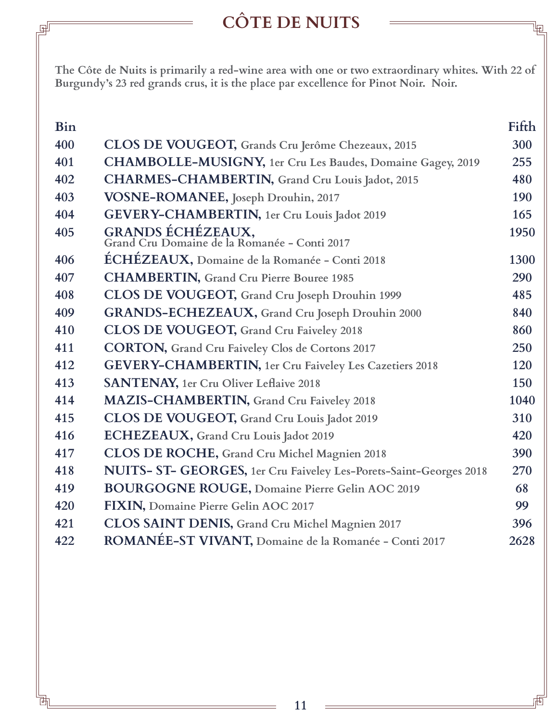# **CÔTE DE NUITS**

叵

**The Côte de Nuits is primarily a red-wine area with one or two extraordinary whites. With 22 of Burgundy's 23 red grands crus, it is the place par excellence for Pinot Noir. Noir.** 

| <b>Bin</b> |                                                                    | Fifth |
|------------|--------------------------------------------------------------------|-------|
| 400        | CLOS DE VOUGEOT, Grands Cru Jerôme Chezeaux, 2015                  | 300   |
| 401        | <b>CHAMBOLLE-MUSIGNY, 1er Cru Les Baudes, Domaine Gagey, 2019</b>  | 255   |
| 402        | CHARMES-CHAMBERTIN, Grand Cru Louis Jadot, 2015                    | 480   |
| 403        | VOSNE-ROMANEE, Joseph Drouhin, 2017                                | 190   |
| 404        | GEVERY-CHAMBERTIN, 1er Cru Louis Jadot 2019                        | 165   |
| 405        | GRANDS ÉCHÉZEAUX,<br>Grand Cru Domaine de la Romanée - Conti 2017  | 1950  |
| 406        | ÉCHÉZEAUX, Domaine de la Romanée - Conti 2018                      | 1300  |
| 407        | <b>CHAMBERTIN, Grand Cru Pierre Bouree 1985</b>                    | 290   |
| 408        | CLOS DE VOUGEOT, Grand Cru Joseph Drouhin 1999                     | 485   |
| 409        | GRANDS-ECHEZEAUX, Grand Cru Joseph Drouhin 2000                    | 840   |
| 410        | CLOS DE VOUGEOT, Grand Cru Faiveley 2018                           | 860   |
| 411        | <b>CORTON, Grand Cru Faiveley Clos de Cortons 2017</b>             | 250   |
| 412        | <b>GEVERY-CHAMBERTIN, 1er Cru Faiveley Les Cazetiers 2018</b>      | 120   |
| 413        | <b>SANTENAY, 1er Cru Oliver Leflaive 2018</b>                      | 150   |
| 414        | <b>MAZIS-CHAMBERTIN, Grand Cru Faiveley 2018</b>                   | 1040  |
| 415        | CLOS DE VOUGEOT, Grand Cru Louis Jadot 2019                        | 310   |
| 416        | ECHEZEAUX, Grand Cru Louis Jadot 2019                              | 420   |
| 417        | CLOS DE ROCHE, Grand Cru Michel Magnien 2018                       | 390   |
| 418        | NUITS- ST- GEORGES, 1er Cru Faiveley Les-Porets-Saint-Georges 2018 | 270   |
| 419        | <b>BOURGOGNE ROUGE, Domaine Pierre Gelin AOC 2019</b>              | 68    |
| 420        | FIXIN, Domaine Pierre Gelin AOC 2017                               | 99    |
| 421        | CLOS SAINT DENIS, Grand Cru Michel Magnien 2017                    | 396   |
| 422        | ROMANÉE-ST VIVANT, Domaine de la Romanée - Conti 2017              | 2628  |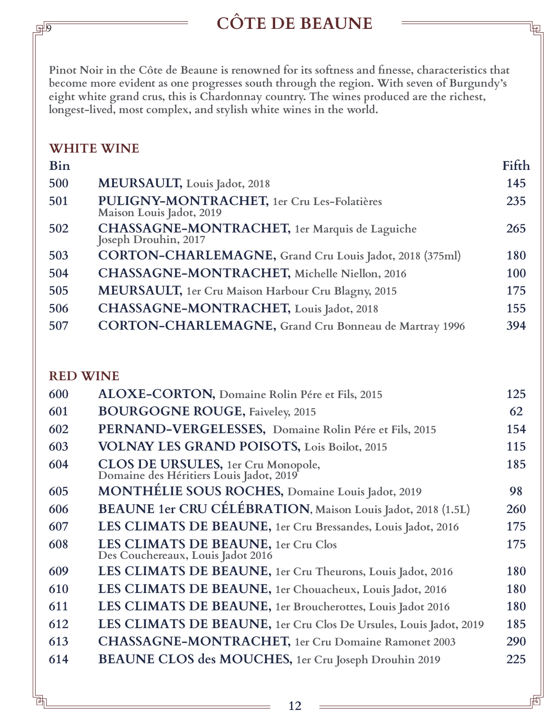# **CÔTE DE BEAUNE**

**Pinot Noir in the Côte de Beaune is renowned for its softness and finesse, characteristics that become more evident as one progresses south through the region. With seven of Burgundy's eight white grand crus, this is Chardonnay country. The wines produced are the richest, longest-lived, most complex, and stylish white wines in the world.** 

#### **WHITE WINE**

 $\overline{\mathsf{P}}$ 

| <b>Bin</b> |                                                                               | Fifth |
|------------|-------------------------------------------------------------------------------|-------|
| 500        | MEURSAULT, Louis Jadot, 2018                                                  | 145   |
| 501        | PULIGNY-MONTRACHET, 1er Cru Les-Folatières<br>Maison Louis Jadot, 2019        | 235   |
| 502        | <b>CHASSAGNE-MONTRACHET</b> , 1er Marquis de Laguiche<br>Joseph Drouhin, 2017 | 265   |
| 503        | CORTON-CHARLEMAGNE, Grand Cru Louis Jadot, 2018 (375ml)                       | 180   |
| 504        | CHASSAGNE-MONTRACHET, Michelle Niellon, 2016                                  | 100   |
| 505        | <b>MEURSAULT</b> , 1er Cru Maison Harbour Cru Blagny, 2015                    | 175   |
| 506        | CHASSAGNE-MONTRACHET, Louis Jadot, 2018                                       | 155   |
| 507        | CORTON-CHARLEMAGNE, Grand Cru Bonneau de Martray 1996                         | 394   |

#### **RED WINE**

| 600 | <b>ALOXE-CORTON, Domaine Rolin Pére et Fils, 2015</b>                         | 125 |
|-----|-------------------------------------------------------------------------------|-----|
| 601 | <b>BOURGOGNE ROUGE, Faiveley, 2015</b>                                        | 62  |
| 602 | PERNAND-VERGELESSES, Domaine Rolin Pére et Fils, 2015                         | 154 |
| 603 | <b>VOLNAY LES GRAND POISOTS, Lois Boilot, 2015</b>                            | 115 |
| 604 | CLOS DE URSULES, 1er Cru Monopole,<br>Domaine des Héritiers Louis Jadot, 2019 | 185 |
| 605 | MONTHÉLIE SOUS ROCHES, Domaine Louis Jadot, 2019                              | 98  |
| 606 | <b>BEAUNE 1er CRU CÉLÉBRATION</b> , Maison Louis Jadot, 2018 (1.5L)           | 260 |
| 607 | LES CLIMATS DE BEAUNE, 1er Cru Bressandes, Louis Jadot, 2016                  | 175 |
| 608 | LES CLIMATS DE BEAUNE, 1er Cru Clos<br>Des Couchereaux, Louis Jadot 2016      | 175 |
| 609 | LES CLIMATS DE BEAUNE, 1er Cru Theurons, Louis Jadot, 2016                    | 180 |
| 610 | LES CLIMATS DE BEAUNE, 1er Chouacheux, Louis Jadot, 2016                      | 180 |
| 611 | LES CLIMATS DE BEAUNE, 1er Broucherottes, Louis Jadot 2016                    | 180 |
| 612 | LES CLIMATS DE BEAUNE, 1er Cru Clos De Ursules, Louis Jadot, 2019             | 185 |
| 613 | <b>CHASSAGNE-MONTRACHET</b> , 1er Cru Domaine Ramonet 2003                    | 290 |
| 614 | <b>BEAUNE CLOS des MOUCHES</b> , 1er Cru Joseph Drouhin 2019                  | 225 |
|     |                                                                               |     |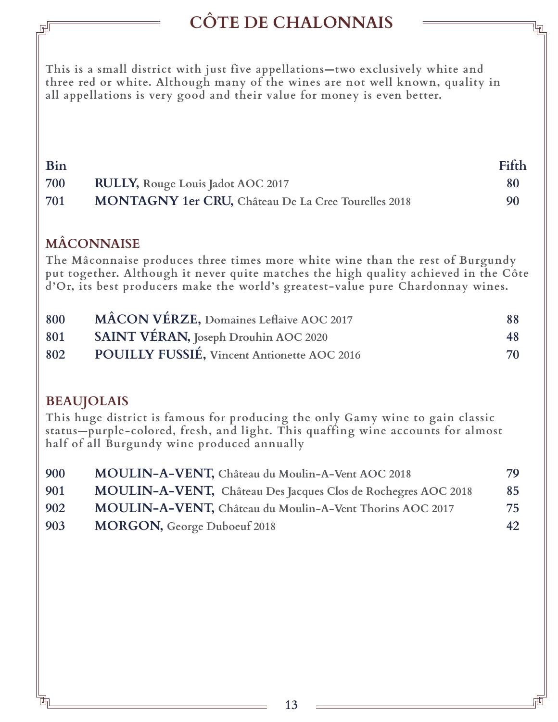# **CÔTE DE CHALONNAIS**

**This is a small district with just five appellations—two exclusively white and three red or white. Although many of the wines are not well known, quality in all appellations is very good and their value for money is even better.**

| Bin |                                                            | Fifth |
|-----|------------------------------------------------------------|-------|
| 700 | <b>RULLY, Rouge Louis Jadot AOC 2017</b>                   | 80    |
| 701 | <b>MONTAGNY 1er CRU, Château De La Cree Tourelles 2018</b> | 90    |

### **MÂCONNAISE**

**The Mâconnaise produces three times more white wine than the rest of Burgundy put together. Although it never quite matches the high quality achieved in the Côte d'Or, its best producers make the world's greatest-value pure Chardonnay wines.**

| 800 | MÂCON VÉRZE, Domaines Leflaive AOC 2017     | 88 |
|-----|---------------------------------------------|----|
| 801 | SAINT VÉRAN, Joseph Drouhin AOC 2020        | 48 |
| 802 | POUILLY FUSSIÉ, Vincent Antionette AOC 2016 | 70 |

### **BEAUJOLAIS**

**This huge district is famous for producing the only Gamy wine to gain classic status—purple-colored, fresh, and light. This quaffing wine accounts for almost half of all Burgundy wine produced annually**

| 900 | MOULIN-A-VENT, Château du Moulin-A-Vent AOC 2018              | 79 |
|-----|---------------------------------------------------------------|----|
| 901 | MOULIN-A-VENT, Château Des Jacques Clos de Rochegres AOC 2018 | 85 |
| 902 | MOULIN-A-VENT, Château du Moulin-A-Vent Thorins AOC 2017      | 75 |
| 903 | <b>MORGON, George Duboeuf 2018</b>                            | 42 |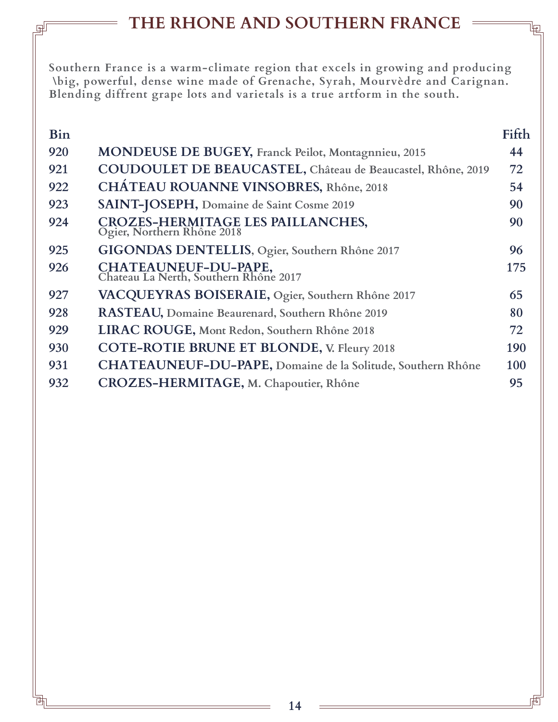# **THE RHONE AND SOUTHERN FRANCE**

**Southern France is a warm-climate region that excels in growing and producing \big, powerful, dense wine made of Grenache, Syrah, Mourvèdre and Carignan. Blending diffrent grape lots and varietals is a true artform in the south.**

| <b>Bin</b> |                                                                 | Fifth |
|------------|-----------------------------------------------------------------|-------|
| 920        | <b>MONDEUSE DE BUGEY, Franck Peilot, Montagnnieu, 2015</b>      | 44    |
| 921        | COUDOULET DE BEAUCASTEL, Château de Beaucastel, Rhône, 2019     | 72    |
| 922        | <b>CHÁTEAU ROUANNE VINSOBRES, Rhône, 2018</b>                   | 54    |
| 923        | SAINT-JOSEPH, Domaine de Saint Cosme 2019                       | 90    |
| 924        | CROZES-HERMITAGE LES PAILLANCHES,<br>Ogier, Northern Rhône 2018 | 90    |
| 925        | GIGONDAS DENTELLIS, Ogier, Southern Rhône 2017                  | 96    |
| 926        | CHATEAUNEUF-DU-PAPE,<br>Chateau La Nerth, Southern Rhône 2017   | 175   |
| 927        | VACQUEYRAS BOISERAIE, Ogier, Southern Rhône 2017                | 65    |
| 928        | RASTEAU, Domaine Beaurenard, Southern Rhône 2019                | 80    |
| 929        | LIRAC ROUGE, Mont Redon, Southern Rhône 2018                    | 72    |
| 930        | <b>COTE-ROTIE BRUNE ET BLONDE, V. Fleury 2018</b>               | 190   |
| 931        | CHATEAUNEUF-DU-PAPE, Domaine de la Solitude, Southern Rhône     | 100   |
| 932        | CROZES-HERMITAGE, M. Chapoutier, Rhône                          | 95    |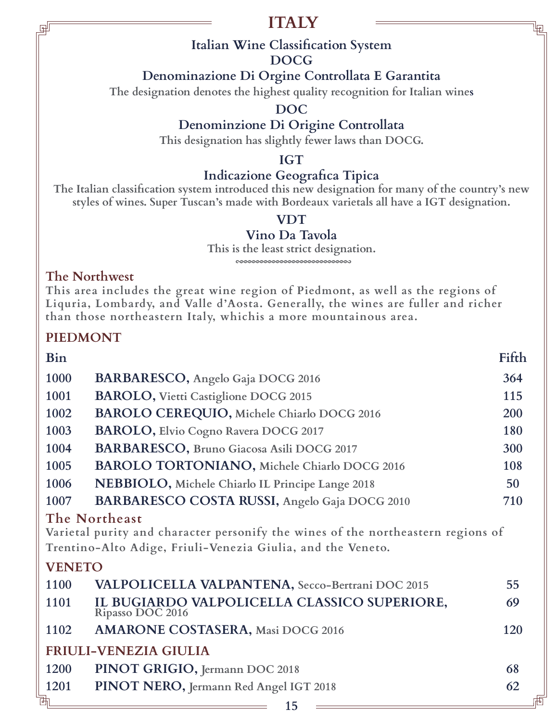# **ITALY**

### **Italian Wine Classification System**

#### **DOCG**

### **Denominazione Di Orgine Controllata E Garantita**

**The designation denotes the highest quality recognition for Italian wines**

**DOC**

### **Denominzione Di Origine Controllata**

**This designation has slightly fewer laws than DOCG.**

#### **IGT**

### **Indicazione Geografica Tipica**

**The Italian classification system introduced this new designation for many of the country's new styles of wines. Super Tuscan's made with Bordeaux varietals all have a IGT designation.**

#### **VDT**

#### **Vino Da Tavola**

**This is the least strict designation.** coooooooooooooooooooooooooooooo

#### **The Northwest**

**This area includes the great wine region of Piedmont, as well as the regions of Liquria, Lombardy, and Valle d'Aosta. Generally, the wines are fuller and richer than those northeastern Italy, whichis a more mountainous area.**

### **PIEDMONT**

| Bin           |                                                                                                                                                                  | Fifth |
|---------------|------------------------------------------------------------------------------------------------------------------------------------------------------------------|-------|
| 1000          | BARBARESCO, Angelo Gaja DOCG 2016                                                                                                                                | 364   |
| 1001          | <b>BAROLO, Vietti Castiglione DOCG 2015</b>                                                                                                                      | 115   |
| 1002          | BAROLO CEREQUIO, Michele Chiarlo DOCG 2016                                                                                                                       | 200   |
| 1003          | BAROLO, Elvio Cogno Ravera DOCG 2017                                                                                                                             | 180   |
| 1004          | BARBARESCO, Bruno Giacosa Asili DOCG 2017                                                                                                                        | 300   |
| 1005          | BAROLO TORTONIANO, Michele Chiarlo DOCG 2016                                                                                                                     | 108   |
| 1006          | NEBBIOLO, Michele Chiarlo IL Principe Lange 2018                                                                                                                 | 50    |
| 1007          | BARBARESCO COSTA RUSSI, Angelo Gaja DOCG 2010                                                                                                                    | 710   |
|               | The Northeast<br>Varietal purity and character personify the wines of the northeastern regions of<br>Trentino-Alto Adige, Friuli-Venezia Giulia, and the Veneto. |       |
| <b>VENETO</b> |                                                                                                                                                                  |       |
| 1100          | VALPOLICELLA VALPANTENA, Secco-Bertrani DOC 2015                                                                                                                 | 55    |
| 1101          | IL BUGIARDO VALPOLICELLA CLASSICO SUPERIORE,<br>Ripasso DOC 2016                                                                                                 | 69    |
| 1102          | <b>AMARONE COSTASERA, Masi DOCG 2016</b>                                                                                                                         | 120   |
|               | <b>FRIULI-VENEZIA GIULIA</b>                                                                                                                                     |       |
| 1200          | PINOT GRIGIO, Jermann DOC 2018                                                                                                                                   | 68    |
| 1201          | PINOT NERO, Jermann Red Angel IGT 2018                                                                                                                           | 62    |
| 玌             |                                                                                                                                                                  |       |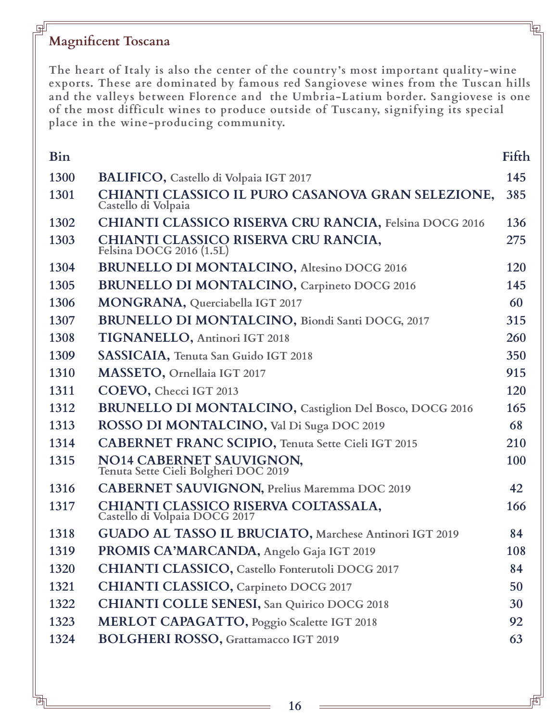#### **Magnificent Toscana**

**The heart of Italy is also the center of the country's most important quality-wine exports. These are dominated by famous red Sangiovese wines from the Tuscan hills and the valleys between Florence and the Umbria-Latium border. Sangiovese is one of the most difficult wines to produce outside of Tuscany, signifying its special place in the wine-producing community.**

| <b>Bin</b> |                                                                          | Fifth |
|------------|--------------------------------------------------------------------------|-------|
| 1300       | <b>BALIFICO, Castello di Volpaia IGT 2017</b>                            | 145   |
| 1301       | CHIANTI CLASSICO IL PURO CASANOVA GRAN SELEZIONE,<br>Castello di Volpaia | 385   |
| 1302       | <b>CHIANTI CLASSICO RISERVA CRU RANCIA, Felsina DOCG 2016</b>            | 136   |
| 1303       | CHIANTI CLASSICO RISERVA CRU RANCIA,<br>Felsina DOCG 2016 (1.5L)         | 275   |
| 1304       | <b>BRUNELLO DI MONTALCINO, Altesino DOCG 2016</b>                        | 120   |
| 1305       | <b>BRUNELLO DI MONTALCINO</b> , Carpineto DOCG 2016                      | 145   |
| 1306       | MONGRANA, Querciabella IGT 2017                                          | 60    |
| 1307       | <b>BRUNELLO DI MONTALCINO</b> , Biondi Santi DOCG, 2017                  | 315   |
| 1308       | TIGNANELLO, Antinori IGT 2018                                            | 260   |
| 1309       | SASSICAIA, Tenuta San Guido IGT 2018                                     | 350   |
| 1310       | MASSETO, Ornellaia IGT 2017                                              | 915   |
| 1311       | COEVO, Checci IGT 2013                                                   | 120   |
| 1312       | <b>BRUNELLO DI MONTALCINO</b> , Castiglion Del Bosco, DOCG 2016          | 165   |
| 1313       | ROSSO DI MONTALCINO, Val Di Suga DOC 2019                                | 68    |
| 1314       | <b>CABERNET FRANC SCIPIO, Tenuta Sette Cieli IGT 2015</b>                | 210   |
| 1315       | NO14 CABERNET SAUVIGNON, Tenuta Sette Cieli Bolgheri DOC 2019            | 100   |
| 1316       | <b>CABERNET SAUVIGNON, Prelius Maremma DOC 2019</b>                      | 42    |
| 1317       | CHIANTI CLASSICO RISERVA COLTASSALA,<br>Castello di Volpaia DOCG 2017    | 166   |
| 1318       | GUADO AL TASSO IL BRUCIATO, Marchese Antinori IGT 2019                   | 84    |
| 1319       | PROMIS CA'MARCANDA, Angelo Gaja IGT 2019                                 | 108   |
| 1320       | CHIANTI CLASSICO, Castello Fonterutoli DOCG 2017                         | 84    |
| 1321       | <b>CHIANTI CLASSICO, Carpineto DOCG 2017</b>                             | 50    |
| 1322       | <b>CHIANTI COLLE SENESI, San Quirico DOCG 2018</b>                       | 30    |
| 1323       | MERLOT CAPAGATTO, Poggio Scalette IGT 2018                               | 92    |
| 1324       | <b>BOLGHERI ROSSO, Grattamacco IGT 2019</b>                              | 63    |
|            |                                                                          |       |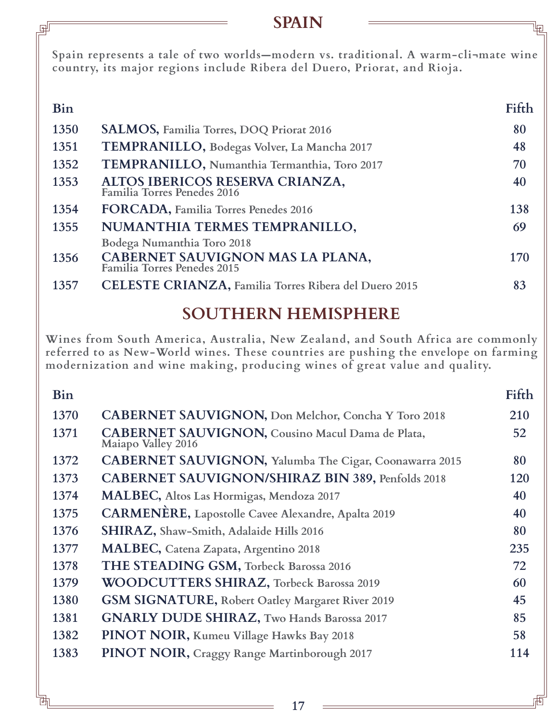### **SPAIN**

**Spain represents a tale of two worlds—modern vs. traditional. A warm-cli¬mate wine country, its major regions include Ribera del Duero, Priorat, and Rioja.**

| Bin  |                                                                                               | Fifth |
|------|-----------------------------------------------------------------------------------------------|-------|
| 1350 | <b>SALMOS, Familia Torres, DOQ Priorat 2016</b>                                               | 80    |
| 1351 | TEMPRANILLO, Bodegas Volver, La Mancha 2017                                                   | 48    |
| 1352 | TEMPRANILLO, Numanthia Termanthia, Toro 2017                                                  | 70    |
| 1353 | ALTOS IBERICOS RESERVA CRIANZA,<br>Familia Torres Penedes 2016                                | 40    |
| 1354 | FORCADA, Familia Torres Penedes 2016                                                          | 138   |
| 1355 | NUMANTHIA TERMES TEMPRANILLO,                                                                 | 69    |
| 1356 | Bodega Numanthia Toro 2018<br>CABERNET SAUVIGNON MAS LA PLANA,<br>Familia Torres Penedes 2015 | 170   |
| 1357 | <b>CELESTE CRIANZA, Familia Torres Ribera del Duero 2015</b>                                  | 83    |
|      |                                                                                               |       |

# **SOUTHERN HEMISPHERE**

**Wines from South America, Australia, New Zealand, and South Africa are commonly referred to as New-World wines. These countries are pushing the envelope on farming modernization and wine making, producing wines of great value and quality.**

| Bin  |                                                                               | Fifth |
|------|-------------------------------------------------------------------------------|-------|
| 1370 | <b>CABERNET SAUVIGNON, Don Melchor, Concha Y Toro 2018</b>                    | 210   |
| 1371 | <b>CABERNET SAUVIGNON, Cousino Macul Dama de Plata,</b><br>Maiapo Valley 2016 | 52    |
| 1372 | <b>CABERNET SAUVIGNON, Yalumba The Cigar, Coonawarra 2015</b>                 | 80    |
| 1373 | <b>CABERNET SAUVIGNON/SHIRAZ BIN 389, Penfolds 2018</b>                       | 120   |
| 1374 | <b>MALBEC</b> , Altos Las Hormigas, Mendoza 2017                              | 40    |
| 1375 | CARMENÈRE, Lapostolle Cavee Alexandre, Apalta 2019                            | 40    |
| 1376 | SHIRAZ, Shaw-Smith, Adalaide Hills 2016                                       | 80    |
| 1377 | <b>MALBEC</b> , Catena Zapata, Argentino 2018                                 | 235   |
| 1378 | THE STEADING GSM, Torbeck Barossa 2016                                        | 72    |
| 1379 | <b>WOODCUTTERS SHIRAZ, Torbeck Barossa 2019</b>                               | 60    |
| 1380 | GSM SIGNATURE, Robert Oatley Margaret River 2019                              | 45    |
| 1381 | <b>GNARLY DUDE SHIRAZ, Two Hands Barossa 2017</b>                             | 85    |
| 1382 | PINOT NOIR, Kumeu Village Hawks Bay 2018                                      | 58    |
| 1383 | PINOT NOIR, Craggy Range Martinborough 2017                                   | 114   |
|      |                                                                               |       |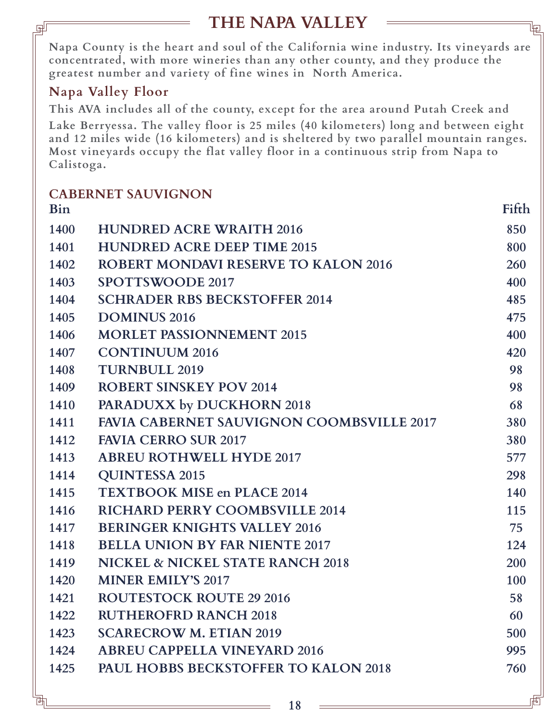# **THE NAPA VALLEY**

闸

**Napa County is the heart and soul of the California wine industry. Its vineyards are concentrated, with more wineries than any other county, and they produce the greatest number and variety of fine wines in North America.**

### **Napa Valley Floor**

**This AVA includes all of the county, except for the area around Putah Creek and** 

**Lake Berryessa. The valley floor is 25 miles (40 kilometers) long and between eight and 12 miles wide (16 kilometers) and is sheltered by two parallel mountain ranges. Most vineyards occupy the flat valley floor in a continuous strip from Napa to Calistoga.**

|            | <b>CABERNET SAUVIGNON</b>                        |       |
|------------|--------------------------------------------------|-------|
| <b>Bin</b> |                                                  | Fifth |
| 1400       | <b>HUNDRED ACRE WRAITH 2016</b>                  | 850   |
| 1401       | <b>HUNDRED ACRE DEEP TIME 2015</b>               | 800   |
| 1402       | <b>ROBERT MONDAVI RESERVE TO KALON 2016</b>      | 260   |
| 1403       | <b>SPOTTSWOODE 2017</b>                          | 400   |
| 1404       | <b>SCHRADER RBS BECKSTOFFER 2014</b>             | 485   |
| 1405       | <b>DOMINUS 2016</b>                              | 475   |
| 1406       | <b>MORLET PASSIONNEMENT 2015</b>                 | 400   |
| 1407       | <b>CONTINUUM 2016</b>                            | 420   |
| 1408       | <b>TURNBULL 2019</b>                             | 98    |
| 1409       | <b>ROBERT SINSKEY POV 2014</b>                   | 98    |
| 1410       | PARADUXX by DUCKHORN 2018                        | 68    |
| 1411       | <b>FAVIA CABERNET SAUVIGNON COOMBSVILLE 2017</b> | 380   |
| 1412       | <b>FAVIA CERRO SUR 2017</b>                      | 380   |
| 1413       | <b>ABREU ROTHWELL HYDE 2017</b>                  | 577   |
| 1414       | <b>QUINTESSA 2015</b>                            | 298   |
| 1415       | <b>TEXTBOOK MISE en PLACE 2014</b>               | 140   |
| 1416       | <b>RICHARD PERRY COOMBSVILLE 2014</b>            | 115   |
| 1417       | <b>BERINGER KNIGHTS VALLEY 2016</b>              | 75    |
| 1418       | <b>BELLA UNION BY FAR NIENTE 2017</b>            | 124   |
| 1419       | NICKEL & NICKEL STATE RANCH 2018                 | 200   |
| 1420       | <b>MINER EMILY'S 2017</b>                        | 100   |
| 1421       | <b>ROUTESTOCK ROUTE 29 2016</b>                  | 58    |
| 1422       | <b>RUTHEROFRD RANCH 2018</b>                     | 60    |
| 1423       | <b>SCARECROW M. ETIAN 2019</b>                   | 500   |
| 1424       | <b>ABREU CAPPELLA VINEYARD 2016</b>              | 995   |
| 1425       | <b>PAUL HOBBS BECKSTOFFER TO KALON 2018</b>      | 760   |
|            |                                                  |       |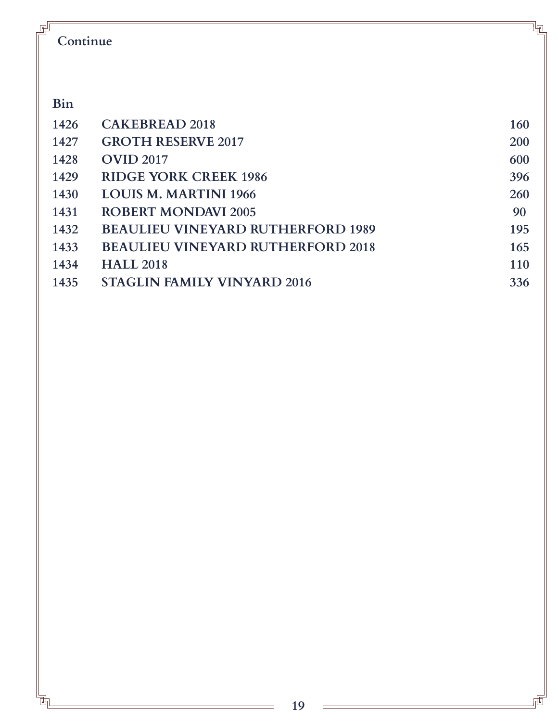| 甼<br>Continue |                                          | 咆   |
|---------------|------------------------------------------|-----|
| Bin           |                                          |     |
| 1426          | <b>CAKEBREAD 2018</b>                    | 160 |
| 1427          | <b>GROTH RESERVE 2017</b>                | 200 |
| 1428          | <b>OVID 2017</b>                         | 600 |
| 1429          | <b>RIDGE YORK CREEK 1986</b>             | 396 |
| 1430          | <b>LOUIS M. MARTINI 1966</b>             | 260 |
| 1431          | <b>ROBERT MONDAVI 2005</b>               | 90  |
| 1432          | <b>BEAULIEU VINEYARD RUTHERFORD 1989</b> | 195 |
| 1433          | <b>BEAULIEU VINEYARD RUTHERFORD 2018</b> | 165 |
| 1434          | <b>HALL 2018</b>                         | 110 |
| 1435          | <b>STAGLIN FAMILY VINYARD 2016</b>       | 336 |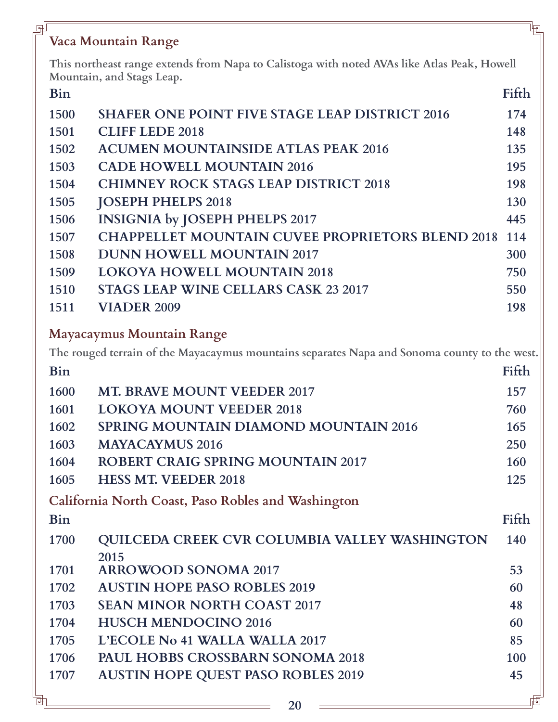# **Vaca Mountain Range**

미

**This northeast range extends from Napa to Calistoga with noted AVAs like Atlas Peak, Howell Mountain, and Stags Leap.**

| <b>Bin</b> |                                                         | Fifth |
|------------|---------------------------------------------------------|-------|
| 1500       | <b>SHAFER ONE POINT FIVE STAGE LEAP DISTRICT 2016</b>   | 174   |
| 1501       | <b>CLIFF LEDE 2018</b>                                  | 148   |
| 1502       | <b>ACUMEN MOUNTAINSIDE ATLAS PEAK 2016</b>              | 135   |
| 1503       | <b>CADE HOWELL MOUNTAIN 2016</b>                        | 195   |
| 1504       | <b>CHIMNEY ROCK STAGS LEAP DISTRICT 2018</b>            | 198   |
| 1505       | <b>JOSEPH PHELPS 2018</b>                               | 130   |
| 1506       | <b>INSIGNIA by JOSEPH PHELPS 2017</b>                   | 445   |
| 1507       | <b>CHAPPELLET MOUNTAIN CUVEE PROPRIETORS BLEND 2018</b> | 114   |
| 1508       | <b>DUNN HOWELL MOUNTAIN 2017</b>                        | 300   |
| 1509       | <b>LOKOYA HOWELL MOUNTAIN 2018</b>                      | 750   |
| 1510       | <b>STAGS LEAP WINE CELLARS CASK 23 2017</b>             | 550   |
| 1511       | <b>VIADER 2009</b>                                      | 198   |
|            |                                                         |       |

#### **Mayacaymus Mountain Range**

**The rouged terrain of the Mayacaymus mountains separates Napa and Sonoma county to the west.** 

| <b>Bin</b> |                                                      | Fifth |
|------------|------------------------------------------------------|-------|
| 1600       | <b>MT. BRAVE MOUNT VEEDER 2017</b>                   | 157   |
| 1601       | <b>LOKOYA MOUNT VEEDER 2018</b>                      | 760   |
| 1602       | <b>SPRING MOUNTAIN DIAMOND MOUNTAIN 2016</b>         | 165   |
| 1603       | <b>MAYACAYMUS 2016</b>                               | 250   |
| 1604       | <b>ROBERT CRAIG SPRING MOUNTAIN 2017</b>             | 160   |
| 1605       | <b>HESS MT. VEEDER 2018</b>                          | 125   |
|            | California North Coast, Paso Robles and Washington   |       |
| <b>Bin</b> |                                                      | Fifth |
| 1700       | <b>QUILCEDA CREEK CVR COLUMBIA VALLEY WASHINGTON</b> | 140   |
|            | 2015                                                 |       |
| 1701       | <b>ARROWOOD SONOMA 2017</b>                          | 53    |
| 1702       | <b>AUSTIN HOPE PASO ROBLES 2019</b>                  | 60    |
| 1703       | <b>SEAN MINOR NORTH COAST 2017</b>                   | 48    |
| 1704       | <b>HUSCH MENDOCINO 2016</b>                          | 60    |
| 1705       | L'ECOLE No 41 WALLA WALLA 2017                       | 85    |
| 1706       | <b>PAUL HOBBS CROSSBARN SONOMA 2018</b>              | 100   |
| 1707       | <b>AUSTIN HOPE QUEST PASO ROBLES 2019</b>            | 45    |
|            |                                                      |       |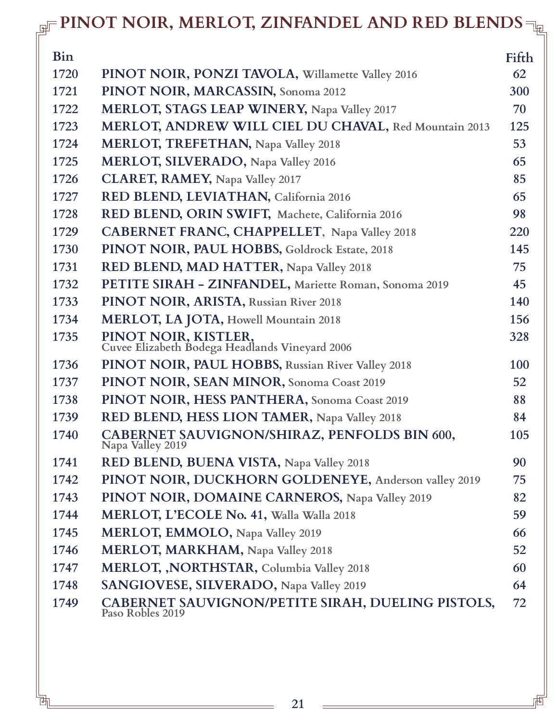# **PINOT NOIR, MERLOT, ZINFANDEL AND RED BLENDS**

| <b>Bin</b> |                                                                        | Fifth      |
|------------|------------------------------------------------------------------------|------------|
| 1720       | PINOT NOIR, PONZI TAVOLA, Willamette Valley 2016                       | 62         |
| 1721       | PINOT NOIR, MARCASSIN, Sonoma 2012                                     | 300        |
| 1722       | <b>MERLOT, STAGS LEAP WINERY, Napa Valley 2017</b>                     | 70         |
| 1723       | MERLOT, ANDREW WILL CIEL DU CHAVAL, Red Mountain 2013                  | 125        |
| 1724       | <b>MERLOT, TREFETHAN, Napa Valley 2018</b>                             | 53         |
| 1725       | <b>MERLOT, SILVERADO, Napa Valley 2016</b>                             | 65         |
| 1726       | <b>CLARET, RAMEY, Napa Valley 2017</b>                                 | 85         |
| 1727       | RED BLEND, LEVIATHAN, California 2016                                  | 65         |
| 1728       | RED BLEND, ORIN SWIFT, Machete, California 2016                        | 98         |
| 1729       | <b>CABERNET FRANC, CHAPPELLET, Napa Valley 2018</b>                    | 220        |
| 1730       | PINOT NOIR, PAUL HOBBS, Goldrock Estate, 2018                          | 145        |
| 1731       | RED BLEND, MAD HATTER, Napa Valley 2018                                | 75         |
| 1732       | PETITE SIRAH - ZINFANDEL, Mariette Roman, Sonoma 2019                  | 45         |
| 1733       | PINOT NOIR, ARISTA, Russian River 2018                                 | 140        |
| 1734       | <b>MERLOT, LA JOTA, Howell Mountain 2018</b>                           | 156        |
| 1735       | PINOT NOIR, KISTLER,<br>Cuvee Elizabeth Bodega Headlands Vineyard 2006 | 328        |
| 1736       | PINOT NOIR, PAUL HOBBS, Russian River Valley 2018                      | <b>100</b> |
| 1737       | PINOT NOIR, SEAN MINOR, Sonoma Coast 2019                              | 52         |
| 1738       | PINOT NOIR, HESS PANTHERA, Sonoma Coast 2019                           | 88         |
| 1739       | RED BLEND, HESS LION TAMER, Napa Valley 2018                           | 84         |
| 1740       | CABERNET SAUVIGNON/SHIRAZ, PENFOLDS BIN 600,<br>Napa Valley 2019       | 105        |
| 1741       | RED BLEND, BUENA VISTA, Napa Valley 2018                               | 90         |
| 1742       | PINOT NOIR, DUCKHORN GOLDENEYE, Anderson valley 2019                   | 75         |
| 1743       | PINOT NOIR, DOMAINE CARNEROS, Napa Valley 2019                         | 82         |
| 1744       | MERLOT, L'ECOLE No. 41, Walla Walla 2018                               | 59         |
| 1745       | <b>MERLOT, EMMOLO, Napa Valley 2019</b>                                | 66         |
| 1746       | <b>MERLOT, MARKHAM, Napa Valley 2018</b>                               | 52         |
| 1747       | MERLOT, , NORTHSTAR, Columbia Valley 2018                              | 60         |
| 1748       | SANGIOVESE, SILVERADO, Napa Valley 2019                                | 64         |
| 1749       | CABERNET SAUVIGNON/PETITE SIRAH, DUELING PISTOLS,<br>Paso Robles 2019  | 72         |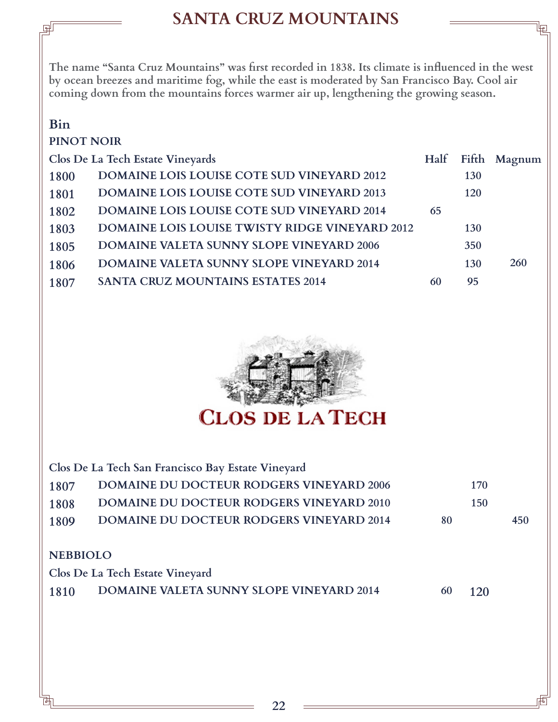# **SANTA CRUZ MOUNTAINS**

**The name "Santa Cruz Mountains" was first recorded in 1838. Its climate is influenced in the west by ocean breezes and maritime fog, while the east is moderated by San Francisco Bay. Cool air coming down from the mountains forces warmer air up, lengthening the growing season.** 

### **Bin**

#### **PINOT NOIR**

| Clos De La Tech Estate Vineyards |                                                       | Half |            | Fifth Magnum |
|----------------------------------|-------------------------------------------------------|------|------------|--------------|
| 1800                             | <b>DOMAINE LOIS LOUISE COTE SUD VINEYARD 2012</b>     |      | 130        |              |
| 1801                             | <b>DOMAINE LOIS LOUISE COTE SUD VINEYARD 2013</b>     |      | 120        |              |
| 1802                             | <b>DOMAINE LOIS LOUISE COTE SUD VINEYARD 2014</b>     | 65   |            |              |
| 1803                             | <b>DOMAINE LOIS LOUISE TWISTY RIDGE VINEYARD 2012</b> |      | <b>130</b> |              |
| 1805                             | <b>DOMAINE VALETA SUNNY SLOPE VINEYARD 2006</b>       |      | 350        |              |
| 1806                             | <b>DOMAINE VALETA SUNNY SLOPE VINEYARD 2014</b>       |      | <b>130</b> | 260          |
| 1807                             | <b>SANTA CRUZ MOUNTAINS ESTATES 2014</b>              | 60   | 95         |              |
|                                  |                                                       |      |            |              |



**NEBBIOLO 1807 DOMAINE DU DOCTEUR RODGERS VINEYARD 2006 170 1808 1809 1810 DOMAINE DU DOCTEUR RODGERS VINEYARD 2010 DOMAINE DU DOCTEUR RODGERS VINEYARD 2014 DOMAINE VALETA SUNNY SLOPE VINEYARD 2014 150 120 Clos De La Tech Estate Vineyard Clos De La Tech San Francisco Bay Estate Vineyard 80 450 60**